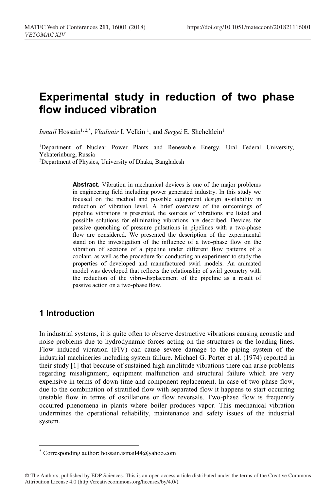# **Experimental study in reduction of two phase flow induced vibration**

Ismail Hossain<sup>1, 2,\*</sup>, *Vladimir* I. Velkin<sup>1</sup>, and *Sergei* E. Shcheklein<sup>1</sup>

1Department of Nuclear Power Plants and Renewable Energy, Ural Federal University, Yekaterinburg, Russia<br><sup>2</sup>Department of Physics, University of Dhaka, Bangladesh

**Abstract.** Vibration in mechanical devices is one of the major problems in engineering field including power generated industry. In this study we focused on the method and possible equipment design availability in reduction of vibration level. A brief overview of the outcomings of pipeline vibrations is presented, the sources of vibrations are listed and possible solutions for eliminating vibrations are described. Devices for passive quenching of pressure pulsations in pipelines with a two-phase flow are considered. We presented the description of the experimental stand on the investigation of the influence of a two-phase flow on the vibration of sections of a pipeline under different flow patterns of a coolant, as well as the procedure for conducting an experiment to study the properties of developed and manufactured swirl models. An animated model was developed that reflects the relationship of swirl geometry with the reduction of the vibro-displacement of the pipeline as a result of passive action on a two-phase flow.

### **1 Introduction**

 $\overline{a}$ 

In industrial systems, it is quite often to observe destructive vibrations causing acoustic and noise problems due to hydrodynamic forces acting on the structures or the loading lines. Flow induced vibration (FIV) can cause severe damage to the piping system of the industrial machineries including system failure. Michael G. Porter et al. (1974) reported in their study [1] that because of sustained high amplitude vibrations there can arise problems regarding misalignment, equipment malfunction and structural failure which are very expensive in terms of down-time and component replacement. In case of two-phase flow, due to the combination of stratified flow with separated flow it happens to start occurring unstable flow in terms of oscillations or flow reversals. Two-phase flow is frequently occurred phenomena in plants where boiler produces vapor. This mechanical vibration undermines the operational reliability, maintenance and safety issues of the industrial system.

<sup>\*</sup> Corresponding author: hossain.ismail44@yahoo.com

<sup>©</sup> The Authors, published by EDP Sciences. This is an open access article distributed under the terms of the Creative Commons Attribution License 4.0 (http://creativecommons.org/licenses/by/4.0/).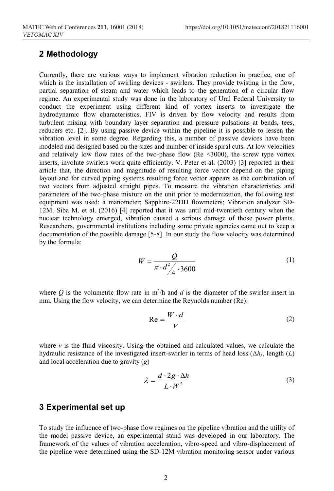# **2 Methodology**

Currently, there are various ways to implement vibration reduction in practice, one of which is the installation of swirling devices - swirlers. They provide twisting in the flow, partial separation of steam and water which leads to the generation of a circular flow regime. An experimental study was done in the laboratory of Ural Federal University to conduct the experiment using different kind of vortex inserts to investigate the hydrodynamic flow characteristics. FIV is driven by flow velocity and results from turbulent mixing with boundary layer separation and pressure pulsations at bends, tees, reducers etc. [2]. By using passive device within the pipeline it is possible to lessen the vibration level in some degree. Regarding this, a number of passive devices have been modeled and designed based on the sizes and number of inside spiral cuts. At low velocities and relatively low flow rates of the two-phase flow (Re  $\leq 3000$ ), the screw type vortex inserts, involute swirlers work quite efficiently. V. Peter et al. (2003) [3] reported in their article that, the direction and magnitude of resulting force vector depend on the piping layout and for curved piping systems resulting force vector appears as the combination of two vectors from adjusted straight pipes. To measure the vibration characteristics and parameters of the two-phase mixture on the unit prior to modernization, the following test equipment was used: a manometer; Sapphire-22DD flowmeters; Vibration analyzer SD-12M. Siba M. et al. (2016) [4] reported that it was until mid-twentieth century when the nuclear technology emerged, vibration caused a serious damage of those power plants. Researchers, governmental institutions including some private agencies came out to keep a documentation of the possible damage [5-8]. In our study the flow velocity was determined by the formula:

$$
W = \frac{Q}{\pi \cdot d_{\mathcal{A}}^2 \cdot 3600}
$$
 (1)

where  $Q$  is the volumetric flow rate in  $m^3/h$  and  $d$  is the diameter of the swirler insert in mm. Using the flow velocity, we can determine the Reynolds number (Re):

$$
Re = \frac{W \cdot d}{V} \tag{2}
$$

where  $\nu$  is the fluid viscosity. Using the obtained and calculated values, we calculate the hydraulic resistance of the investigated insert-swirler in terms of head loss (Δ*h)*, length (*L*) and local acceleration due to gravity (*g*)

$$
\lambda = \frac{d \cdot 2g \cdot \Delta h}{L \cdot W^2} \tag{3}
$$

#### **3 Experimental set up**

To study the influence of two-phase flow regimes on the pipeline vibration and the utility of the model passive device, an experimental stand was developed in our laboratory. The framework of the values of vibration acceleration, vibro-speed and vibro-displacement of the pipeline were determined using the SD-12M vibration monitoring sensor under various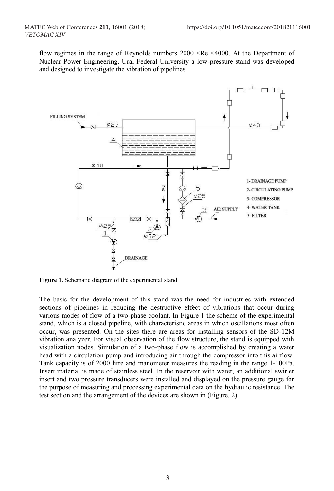flow regimes in the range of Reynolds numbers 2000 <Re <4000. At the Department of Nuclear Power Engineering, Ural Federal University a low-pressure stand was developed and designed to investigate the vibration of pipelines.



**Figure 1.** Schematic diagram of the experimental stand

The basis for the development of this stand was the need for industries with extended sections of pipelines in reducing the destructive effect of vibrations that occur during various modes of flow of a two-phase coolant. In Figure 1 the scheme of the experimental stand, which is a closed pipeline, with characteristic areas in which oscillations most often occur, was presented. On the sites there are areas for installing sensors of the SD-12M vibration analyzer. For visual observation of the flow structure, the stand is equipped with visualization nodes. Simulation of a two-phase flow is accomplished by creating a water head with a circulation pump and introducing air through the compressor into this airflow. Tank capacity is of 2000 litre and manometer measures the reading in the range 1-100Pa, Insert material is made of stainless steel. In the reservoir with water, an additional swirler insert and two pressure transducers were installed and displayed on the pressure gauge for the purpose of measuring and processing experimental data on the hydraulic resistance. The test section and the arrangement of the devices are shown in (Figure. 2).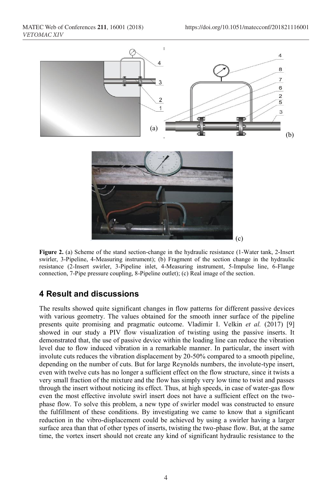

**Figure 2.** (a) Scheme of the stand section-change in the hydraulic resistance (1-Water tank, 2-Insert swirler, 3-Pipeline, 4-Measuring instrument); (b) Fragment of the section change in the hydraulic resistance (2-Insert swirler, 3-Pipeline inlet, 4-Measuring instrument, 5-Impulse line, 6-Flange connection, 7-Pipe pressure coupling, 8-Pipeline outlet); (c) Real image of the section.

## **4 Result and discussions**

The results showed quite significant changes in flow patterns for different passive devices with various geometry. The values obtained for the smooth inner surface of the pipeline presents quite promising and pragmatic outcome. Vladimir I. Velkin *et al.* (2017) [9] showed in our study a PIV flow visualization of twisting using the passive inserts. It demonstrated that, the use of passive device within the loading line can reduce the vibration level due to flow induced vibration in a remarkable manner. In particular, the insert with involute cuts reduces the vibration displacement by 20-50% compared to a smooth pipeline, depending on the number of cuts. But for large Reynolds numbers, the involute-type insert, even with twelve cuts has no longer a sufficient effect on the flow structure, since it twists a very small fraction of the mixture and the flow has simply very low time to twist and passes through the insert without noticing its effect. Thus, at high speeds, in case of water-gas flow even the most effective involute swirl insert does not have a sufficient effect on the twophase flow. To solve this problem, a new type of swirler model was constructed to ensure the fulfillment of these conditions. By investigating we came to know that a significant reduction in the vibro-displacement could be achieved by using a swirler having a larger surface area than that of other types of inserts, twisting the two-phase flow. But, at the same time, the vortex insert should not create any kind of significant hydraulic resistance to the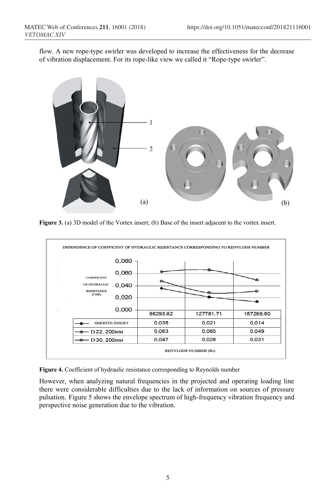flow. A new rope-type swirler was developed to increase the effectiveness for the decrease of vibration displacement. For its rope-like view we called it "Rope-type swirler".



Figure 3. (a) 3D model of the Vortex insert; (b) Base of the insert adjacent to the vortex insert.

|  | <b>COEFFICENT</b><br>OF HYDRAULIC<br><b>RESISTANCE</b><br>(CHR) | 0,080<br>0,060 |          |           |           |
|--|-----------------------------------------------------------------|----------------|----------|-----------|-----------|
|  |                                                                 |                |          |           |           |
|  |                                                                 | 0,040          |          |           |           |
|  |                                                                 | 0,020          |          |           |           |
|  |                                                                 | 0,000          |          |           |           |
|  |                                                                 |                | 98293,62 | 127781.71 | 157269,80 |
|  | <b>SMOOTH INSERT</b>                                            |                | 0,035    | 0,021     | 0,014     |
|  | $\rightarrow$ D22, 200 <sub>MM</sub>                            |                | 0,063    | 0,065     | 0,049     |
|  | $-$ D30, 200 $~$ MM                                             |                | 0,047    | 0,028     | 0,031     |

|  |  |  | Figure 4. Coefficient of hydraulic resistance corresponding to Reynolds number |  |
|--|--|--|--------------------------------------------------------------------------------|--|
|  |  |  |                                                                                |  |

However, when analyzing natural frequencies in the projected and operating loading line there were considerable difficulties due to the lack of information on sources of pressure pulsation. Figure 5 shows the envelope spectrum of high-frequency vibration frequency and perspective noise generation due to the vibration.